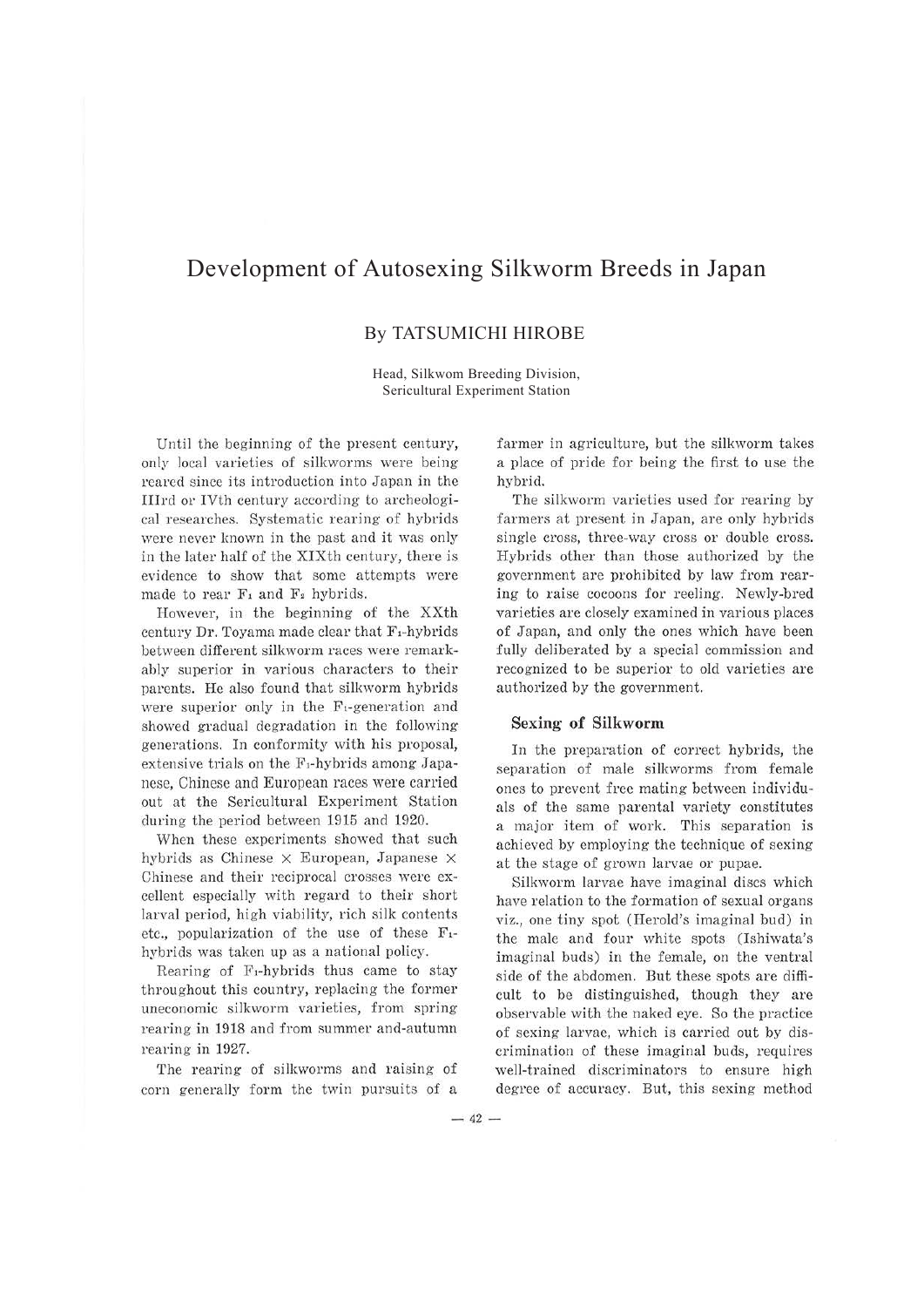# Development of Autosexing Silkworm Breeds in Japan

## By TATSUMICHI HIROBE

Head, Silkwom Breeding Division, Sericultural Experiment Station

Until the beginning of the present century, only local varieties of silkworms were being reared since its introduction into Japan in the Illrd or IVth century according to archeological researches. Systematic rearing of hybrids were never known in the past and it was only in the later half of the XIXth century, there is evidence to show that some attempts were made to rear  $F_1$  and  $F_2$  hybrids.

However, in the beginning of the XXth century Dr. Toyama made clear that F,-hybrids between different silkworm races were remarkably superior in various characters to their parents. He also found that silkworm hybrids were superior only in the  $F_1$ -generation and showed gradual degradation in the following generations. In conformity with his proposal, extensive trials on the F<sub>1</sub>-hybrids among Japanese, Chinese and European races were carried out at the Sericultural Experiment Station during the period between 1915 and 1920.

When these experiments showed that such hybrids as Chinese  $\times$  European, Japanese  $\times$ Chinese and their reciprocal crosses were excellent especially with regard to their short larval period, high viability, rich silk contents etc., popularization of the use of these  $F_1$ hybrids was taken up as a national policy.

Rearing of  $F_1$ -hybrids thus came to stay throughout this country, replacing the former uneconomic silkworm varieties, from spring rearing in 1918 and from summer and-autumn rearing in 1927.

The rearing of silkworms and raising of corn generally form the twin pursuits of a farmer in agriculture, but the silkworm takes a place of pride for being the first to use the hybrid.

The silkworm varieties used for rearing by farmers at present in Japan, are only hybrids single cross, three-way cross or double cross. Hybrids other than those authorized by the government are prohibited by law from rearing to raise cocoons for reeling. Newly-bred varieties are closely examined in various places of Japan, and only the ones which have been fully deliberated by a special commission and recognized to be superior to old varieties are authorized by the government.

#### **Sexing- of Silkworm**

In the preparation of correct hybrids, the separation of male silkworms from female ones to prevent free mating between individuals of the same parental variety constitutes a major item of work. This separation is achieved by employing the technique of sexing at the stage of grown larvae or pupae.

Silkworm larvae have imaginal discs which have relation to the formation of sexual organs viz., one tiny spot (Herold's imaginal bud) in the male and four white spots (Ishiwata's imaginal buds) in the female, on the ventral side of the abdomen. But these spots are difficult to be distinguished, though they are observable with the naked eye. So the practice of sexing larvae, which is carried out by discrimination of these imaginal buds, requires well-trained discriminators to ensure high degree of accuracy. But, this sexing method

 $-42-$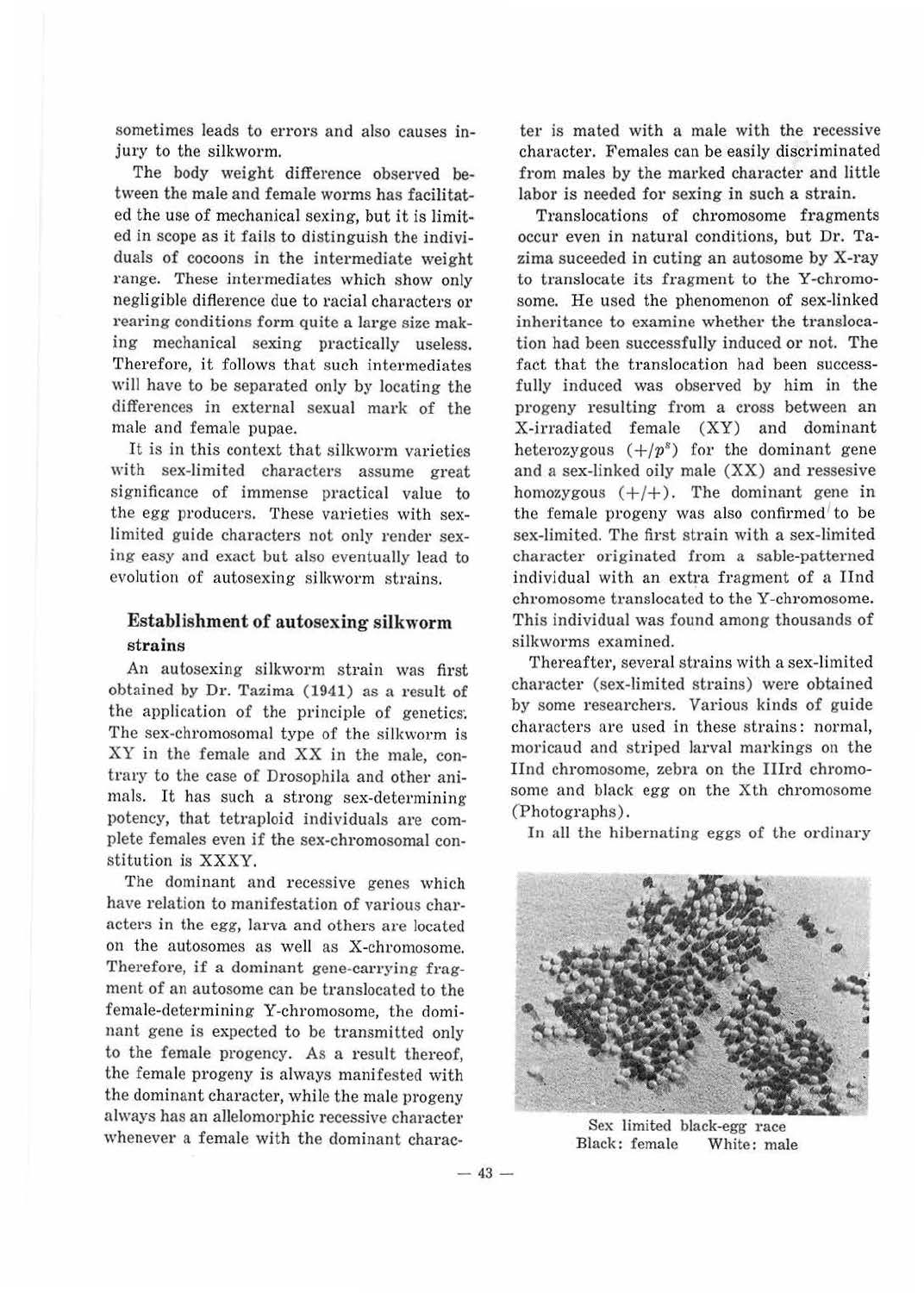sometimes leads to errors and also causes injury to the silkworm.

The body weight difference observed between the male and female worms has facilitated the use of mechanical sexing, but it is limited in scope as it fails to distinguish the individuals of cocoons in the intermediate weight range. These intermediates which show only negligible diflerence due to racial characters or rearing conditions form quite a large size making mechanical sexing practically useless. Therefore, it follows that such intermediates will have to be separated only by locating the differences in external sexual mark of the male and female pupae.

It is in this context that silkworm varieties with sex-limited characters assume great significance of immense practical value to the egg producers. These varieties with sexlimited guide characters not only render sexing easy and exact but also eventually lead to evolution of autosexing silkworm strains.

#### **Establishment of autosexing silkworm**  strains

An autosexing silkworm strain was first obtained by Dr. Tazima (1941) as a result of the application of the principle of genetics. The sex-chromosomal type of the silkworm is XY in the female and XX in the male, contrary to the case of Drosophila and other animals. It has such a strong sex-determining potency, that tetraploid individuals are complete females even if the sex-chromosomal constitution is XXXY.

The dominant and recessive genes which have relation to manifestation of various characters in the egg, larva and others are located on the autosomes as well as X-chromosome. Therefore, if a dominant gene-carrying fragment of an autosome can be translocated to the female-determining Y-chromosome, the dominant gene is expected to be transmitted only to the female progency. As a result thereof, the female progeny is always manifested with the dominant character, while the male progeny always has an allelomorphic recessive character whenever a female with the dominant charac-

ter is mated with a male with the recessive character. Females can be easily discriminated from males by the marked character and little labor is needed for sexing in such a strain.

Translocations of chromosome fragments occur even in natural conditions, but Dr. Tazima suceeded in cuting an autosome by X-ray to translocate its fragment to the Y-chromosome. He used the phenomenon of sex-linked inheritance to examine whether the translocation had been successfully induced or not. The fact that the translocation had been successfully induced was observed by him in the progeny resulting from a cross between an X-irradiated female (XY) and dominant heterozygous  $(+/p^s)$  for the dominant gene and a sex-linked oily male (XX) and ressesive homozygous  $(+/+)$ . The dominant gene in the female progeny was also confirmed' to be sex-limited. The first strain with a sex-limited character originated from a sable-patterned individual with an extra fragment of a Ilnd chromosome translocated to the Y-chromosome. This individual was found among thousands of silkworms examined.

Thereafter, several strains with a sex-limited character (sex-limited strains) were obtained by some researchers. Various kinds of guide characters are used in these strains: normal, moricaud and striped larval markings on the Ilnd chromosome, zebra on the IIIrd chromosome and black egg on the Xth chromosome (Photographs).

In all the hibernating eggs of the ordinary



Sex limited black-egg race Black: female White: male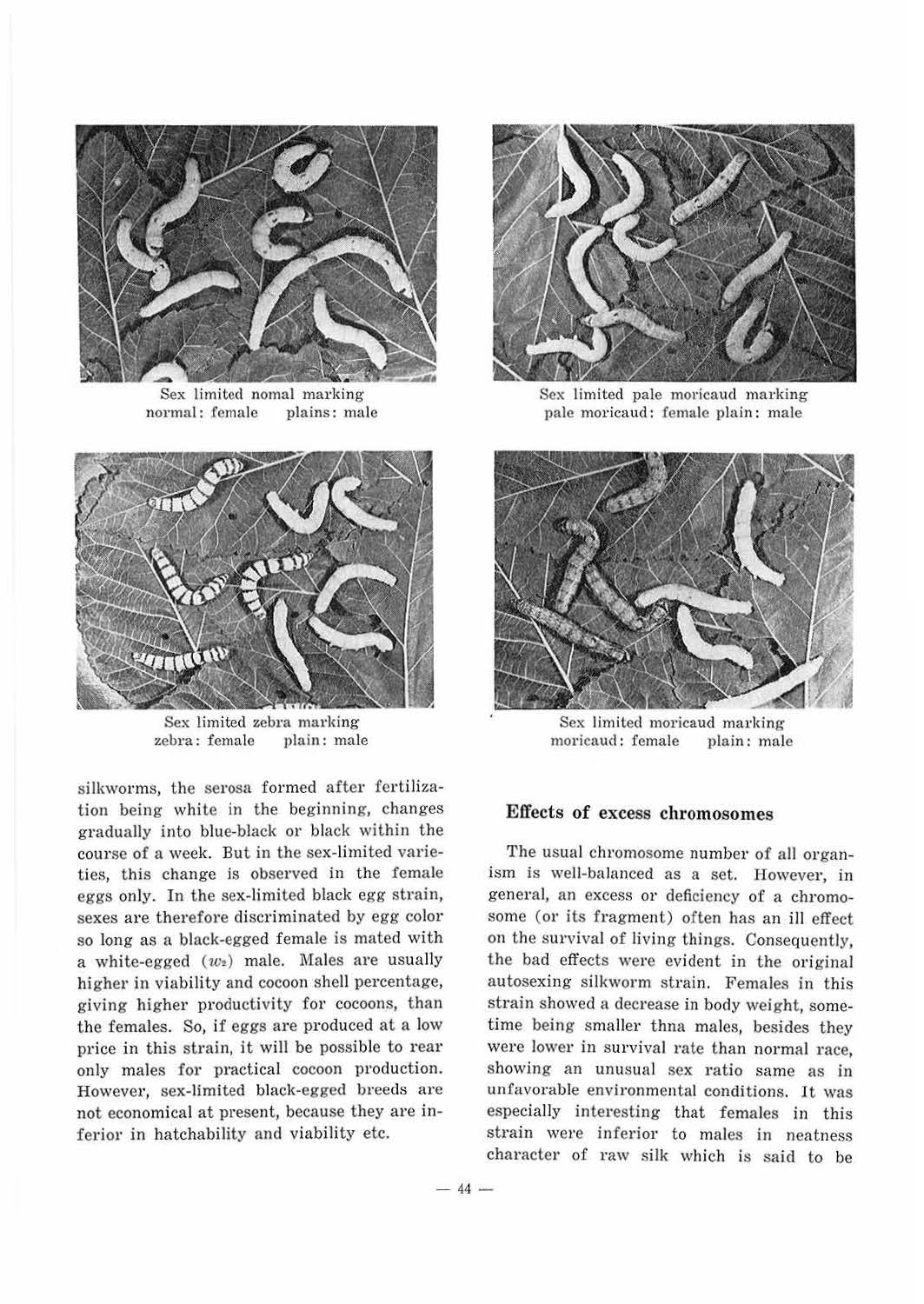

Sex limited nomal marking normal: female plains: male



Sex limited zebra marking zebra: female plain: male

silkworms, the serosa formed after fertilization being white in the beginning, changes gradually into blue-black or black within the course of a week. But in the sex-limited varieties, this change is observed in the female eggs only. In the sex-limited black egg strain, sexes are therefore discriminated by egg color so long as a black-egged female is mated with a white-egged  $(w_2)$  male. Males are usually higher in viability and cocoon shell percentage, giving higher productivity for cocoons, than the females. So, if eggs are produced at a low price in this strain, it will be possible to rear only males for practical cocoon production. However, sex-limited black-egged breeds are not economical at present, because they are inferior in hatchability and viability etc.



Sex limited pale moricaud marking pale moricaud: female plain: male



Sex limited moricaud marking moricaud: female plain: male

#### **Effects of** excess **chromosomes**

The usual chromosome number of all organism is well-balanced as a set. However, in general, an excess or deficiency of a chromosome (or its fragment) often has an ill effect on the survival of living things. Consequently, the bad effects were evident in the original autosexing silkworm strain. Females in this strain showed a decrease in body weight, sometime being smaller thna males, besides they were lower in survival rate than normal race, showing an unusual sex ratio same as in unfavorable environmental conditions. It was especially interesting that females in this strain were inferior to males in neatness character of raw silk which is said to be